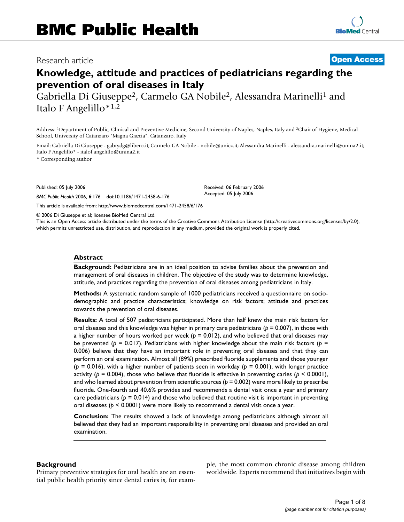# Research article **[Open Access](http://www.biomedcentral.com/info/about/charter/)**

# **Knowledge, attitude and practices of pediatricians regarding the prevention of oral diseases in Italy**

Gabriella Di Giuseppe2, Carmelo GA Nobile2, Alessandra Marinelli1 and Italo F Angelillo\*1,2

Address: 1Department of Public, Clinical and Preventive Medicine, Second University of Naples, Naples, Italy and 2Chair of Hygiene, Medical School, University of Catanzaro "Magna Græcia", Catanzaro, Italy

Email: Gabriella Di Giuseppe - gabrydg@libero.it; Carmelo GA Nobile - nobile@unicz.it; Alessandra Marinelli - alessandra.marinelli@unina2.it; Italo F Angelillo\* - italof.angelillo@unina2.it

> Received: 06 February 2006 Accepted: 05 July 2006

\* Corresponding author

Published: 05 July 2006

*BMC Public Health* 2006, **6**:176 doi:10.1186/1471-2458-6-176

[This article is available from: http://www.biomedcentral.com/1471-2458/6/176](http://www.biomedcentral.com/1471-2458/6/176)

© 2006 Di Giuseppe et al; licensee BioMed Central Ltd.

This is an Open Access article distributed under the terms of the Creative Commons Attribution License [\(http://creativecommons.org/licenses/by/2.0\)](http://creativecommons.org/licenses/by/2.0), which permits unrestricted use, distribution, and reproduction in any medium, provided the original work is properly cited.

#### **Abstract**

**Background:** Pediatricians are in an ideal position to advise families about the prevention and management of oral diseases in children. The objective of the study was to determine knowledge, attitude, and practices regarding the prevention of oral diseases among pediatricians in Italy.

**Methods:** A systematic random sample of 1000 pediatricians received a questionnaire on sociodemographic and practice characteristics; knowledge on risk factors; attitude and practices towards the prevention of oral diseases.

**Results:** A total of 507 pediatricians participated. More than half knew the main risk factors for oral diseases and this knowledge was higher in primary care pediatricians (*p* = 0.007), in those with a higher number of hours worked per week (*p* = 0.012), and who believed that oral diseases may be prevented (*p* = 0.017). Pediatricians with higher knowledge about the main risk factors (*p* = 0.006) believe that they have an important role in preventing oral diseases and that they can perform an oral examination. Almost all (89%) prescribed fluoride supplements and those younger (*p* = 0.016), with a higher number of patients seen in workday (*p* = 0.001), with longer practice activity ( $p = 0.004$ ), those who believe that fluoride is effective in preventing caries ( $p < 0.0001$ ), and who learned about prevention from scientific sources (*p* = 0.002) were more likely to prescribe fluoride. One-fourth and 40.6% provides and recommends a dental visit once a year and primary care pediatricians ( $p = 0.014$ ) and those who believed that routine visit is important in preventing oral diseases (*p* < 0.0001) were more likely to recommend a dental visit once a year.

**Conclusion:** The results showed a lack of knowledge among pediatricians although almost all believed that they had an important responsibility in preventing oral diseases and provided an oral examination.

#### **Background**

Primary preventive strategies for oral health are an essential public health priority since dental caries is, for example, the most common chronic disease among children worldwide. Experts recommend that initiatives begin with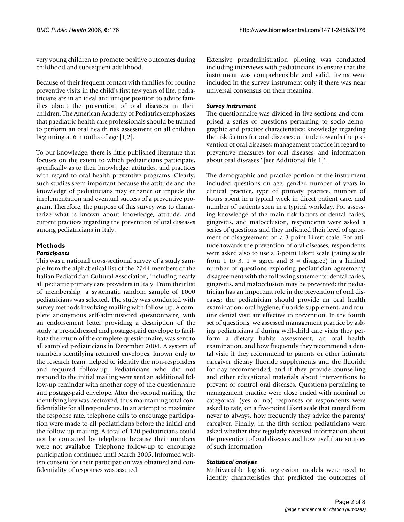very young children to promote positive outcomes during childhood and subsequent adulthood.

Because of their frequent contact with families for routine preventive visits in the child's first few years of life, pediatricians are in an ideal and unique position to advice families about the prevention of oral diseases in their children. The American Academy of Pediatrics emphasizes that paediatric health care professionals should be trained to perform an oral health risk assessment on all children beginning at 6 months of age [1,2].

To our knowledge, there is little published literature that focuses on the extent to which pediatricians participate, specifically as to their knowledge, attitudes, and practices with regard to oral health preventive programs. Clearly, such studies seem important because the attitude and the knowledge of pediatricians may enhance or impede the implementation and eventual success of a preventive program. Therefore, the purpose of this survey was to characterize what is known about knowledge, attitude, and current practices regarding the prevention of oral diseases among pediatricians in Italy.

# **Methods**

#### *Participants*

This was a national cross-sectional survey of a study sample from the alphabetical list of the 2744 members of the Italian Pediatrician Cultural Association, including nearly all pediatric primary care providers in Italy. From their list of membership, a systematic random sample of 1000 pediatricians was selected. The study was conducted with survey methods involving mailing with follow-up. A complete anonymous self-administered questionnaire, with an endorsement letter providing a description of the study, a pre-addressed and postage-paid envelope to facilitate the return of the complete questionnaire, was sent to all sampled pediatricians in December 2004. A system of numbers identifying returned envelopes, known only to the research team, helped to identify the non-responders and required follow-up. Pediatricians who did not respond to the initial mailing were sent an additional follow-up reminder with another copy of the questionnaire and postage-paid envelope. After the second mailing, the identifying key was destroyed, thus maintaining total confidentiality for all respondents. In an attempt to maximize the response rate, telephone calls to encourage participation were made to all pediatricians before the initial and the follow-up mailing. A total of 120 pediatricians could not be contacted by telephone because their numbers were not available. Telephone follow-up to encourage participation continued until March 2005. Informed written consent for their participation was obtained and confidentiality of responses was assured.

Extensive preadministration piloting was conducted including interviews with pediatricians to ensure that the instrument was comprehensible and valid. Items were included in the survey instrument only if there was near universal consensus on their meaning.

#### *Survey instrument*

The questionnaire was divided in five sections and comprised a series of questions pertaining to socio-demographic and practice characteristics; knowledge regarding the risk factors for oral diseases; attitude towards the prevention of oral diseases; management practice in regard to preventive measures for oral diseases; and information about oral diseases ' [see Additional file 1]'.

The demographic and practice portion of the instrument included questions on age, gender, number of years in clinical practice, type of primary practice, number of hours spent in a typical week in direct patient care, and number of patients seen in a typical workday. For assessing knowledge of the main risk factors of dental caries, gingivitis, and malocclusion, respondents were asked a series of questions and they indicated their level of agreement or disagreement on a 3-point Likert scale. For attitude towards the prevention of oral diseases, respondents were asked also to use a 3-point Likert scale (rating scale from 1 to 3,  $1 =$  agree and  $3 =$  disagree) in a limited number of questions exploring pediatrician agreement/ disagreement with the following statements: dental caries, gingivitis, and malocclusion may be prevented; the pediatrician has an important role in the prevention of oral diseases; the pediatrician should provide an oral health examination; oral hygiene, fluoride supplement, and routine dental visit are effective in prevention. In the fourth set of questions, we assessed management practice by asking pediatricians if during well-child care visits they perform a dietary habits assessment, an oral health examination, and how frequently they recommend a dental visit; if they recommend to parents or other intimate caregiver dietary fluoride supplements and the fluoride for day recommended; and if they provide counselling and other educational materials about interventions to prevent or control oral diseases. Questions pertaining to management practice were close ended with nominal or categorical (yes or no) responses or respondents were asked to rate, on a five-point Likert scale that ranged from never to always, how frequently they advice the parents/ caregiver. Finally, in the fifth section pediatricians were asked whether they regularly received information about the prevention of oral diseases and how useful are sources of such information.

# *Statistical analysis*

Multivariable logistic regression models were used to identify characteristics that predicted the outcomes of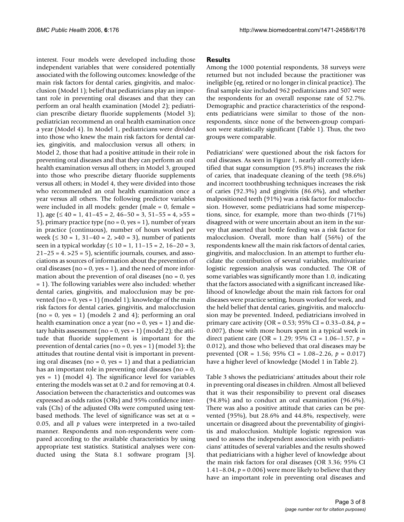interest. Four models were developed including those independent variables that were considered potentially associated with the following outcomes: knowledge of the main risk factors for dental caries, gingivitis, and malocclusion (Model 1); belief that pediatricians play an important role in preventing oral diseases and that they can perform an oral health examination (Model 2); pediatrician prescribe dietary fluoride supplements (Model 3); pediatrician recommend an oral health examination once a year (Model 4). In Model 1, pediatricians were divided into those who knew the main risk factors for dental caries, gingivitis, and malocclusion versus all others; in Model 2, those that had a positive attitude in their role in preventing oral diseases and that they can perform an oral health examination versus all others; in Model 3, grouped into those who prescribe dietary fluoride supplements versus all others; in Model 4, they were divided into those who recommended an oral health examination once a year versus all others. The following predictor variables were included in all models: gender (male = 0, female = 1), age  $( \leq 40 = 1, 41 - 45 = 2, 46 - 50 = 3, 51 - 55 = 4, \geq 55 = 1$ 5), primary practice type (no = 0, yes = 1), number of years in practice (continuous), number of hours worked per week ( $\leq 30 = 1$ ,  $31-40 = 2$ ,  $>40 = 3$ ), number of patients seen in a typical workday ( $\leq 10 = 1$ ,  $11 - 15 = 2$ ,  $16 - 20 = 3$ ,  $21-25 = 4.$  >  $25 = 5$ ), scientific journals, courses, and associations as sources of information about the prevention of oral diseases ( $no = 0$ ,  $yes = 1$ ), and the need of more information about the prevention of oral diseases ( $no = 0$ , yes = 1). The following variables were also included: whether dental caries, gingivitis, and malocclusion may be prevented  $(no = 0, yes = 1)$  (model 1); knowledge of the main risk factors for dental caries, gingivitis, and malocclusion  $(no = 0, yes = 1)$  (models 2 and 4); performing an oral health examination once a year (no  $= 0$ , yes  $= 1$ ) and dietary habits assessment ( $no = 0$ , yes = 1) (model 2); the attitude that fluoride supplement is important for the prevention of dental caries ( $no = 0$ ,  $yes = 1$ ) (model 3); the attitudes that routine dental visit is important in preventing oral diseases ( $no = 0$ ,  $yes = 1$ ) and that a pediatrician has an important role in preventing oral diseases (no = 0, yes = 1) (model 4). The significance level for variables entering the models was set at 0.2 and for removing at 0.4. Association between the characteristics and outcomes was expressed as odds ratios (ORs) and 95% confidence intervals (CIs) of the adjusted ORs were computed using testbased methods. The level of significance was set at  $\alpha$  = 0.05, and all *p* values were interpreted in a two-tailed manner. Respondents and non-respondents were compared according to the available characteristics by using appropriate test statistics. Statistical analyses were conducted using the Stata 8.1 software program [3].

# **Results**

Among the 1000 potential respondents, 38 surveys were returned but not included because the practitioner was ineligible (eg, retired or no longer in clinical practice). The final sample size included 962 pediatricians and 507 were the respondents for an overall response rate of 52.7%. Demographic and practice characteristics of the respondents pediatricians were similar to those of the nonrespondents, since none of the between-group comparison were statistically significant (Table 1). Thus, the two groups were comparable.

Pediatricians' were questioned about the risk factors for oral diseases. As seen in Figure 1, nearly all correctly identified that sugar consumption (95.8%) increases the risk of caries, that inadequate cleaning of the teeth (98.6%) and incorrect toothbrushing techniques increases the risk of caries (92.3%) and gingivitis (86.6%), and whether malpositioned teeth (91%) was a risk factor for malocclusion. However, some pediatricians had some misperceptions, since, for example, more than two-thirds (71%) disagreed with or were uncertain about an item in the survey that asserted that bottle feeding was a risk factor for malocclusion. Overall, more than half (56%) of the respondents knew all the main risk factors of dental caries, gingivitis, and malocclusion. In an attempt to further elucidate the contribution of several variables, multivariate logistic regression analysis was conducted. The OR of some variables was significantly more than 1.0, indicating that the factors associated with a significant increased likelihood of knowledge about the main risk factors for oral diseases were practice setting, hours worked for week, and the held belief that dental caries, gingivitis, and malocclusion may be prevented. Indeed, pediatricians involved in primary care activity (OR = 0.53; 95% CI = 0.33–0.84, *p* = 0.007), those with more hours spent in a typical week in direct patient care (OR = 1.29; 95% CI = 1.06–1.57, *p* = 0.012), and those who believed that oral diseases may be prevented (OR = 1.56; 95% CI = 1.08–2.26, *p* = 0.017) have a higher level of knowledge (Model 1 in Table 2).

Table 3 shows the pediatricians' attitudes about their role in preventing oral diseases in children. Almost all believed that it was their responsibility to prevent oral diseases (94.8%) and to conduct an oral examination (96.6%). There was also a positive attitude that caries can be prevented (95%), but 28.6% and 44.8%, respectively, were uncertain or disagreed about the preventability of gingivitis and malocclusion. Multiple logistic regression was used to assess the independent association with pediatricians' attitudes of several variables and the results showed that pediatricians with a higher level of knowledge about the main risk factors for oral diseases (OR 3.36; 95% CI 1.41–8.04,  $p = 0.006$ ) were more likely to believe that they have an important role in preventing oral diseases and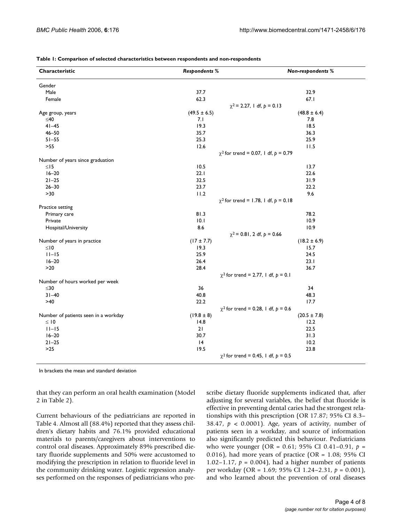| Characteristic                       | <b>Respondents %</b>                        | Non-respondents %                          |  |  |  |
|--------------------------------------|---------------------------------------------|--------------------------------------------|--|--|--|
| Gender                               |                                             |                                            |  |  |  |
| Male                                 | 37.7                                        | 32.9                                       |  |  |  |
| Female                               | 62.3                                        | 67.1                                       |  |  |  |
|                                      | $\chi^2$ = 2.27, 1 df, $p = 0.13$           |                                            |  |  |  |
| Age group, years                     | $(49.5 \pm 6.5)$                            | $(48.8 \pm 6.4)$                           |  |  |  |
| ≤40                                  | 7.1                                         | 7.8                                        |  |  |  |
| $41 - 45$                            | 19.3                                        | 18.5                                       |  |  |  |
| $46 - 50$                            | 35.7                                        | 36.3                                       |  |  |  |
| $51 - 55$                            | 25.3                                        | 25.9                                       |  |  |  |
| $>55$                                | 12.6                                        | 11.5                                       |  |  |  |
|                                      | $\chi^2$ for trend = 0.07, 1 df, $p = 0.79$ |                                            |  |  |  |
| Number of years since graduation     |                                             |                                            |  |  |  |
| $\leq$ 15                            | 10.5                                        | 13.7                                       |  |  |  |
| $16 - 20$                            | 22.1                                        | 22.6                                       |  |  |  |
| $21 - 25$                            | 32.5                                        | 31.9                                       |  |  |  |
| $26 - 30$                            | 23.7                                        | 22.2                                       |  |  |  |
| $>30$                                | 11.2                                        | 9.6                                        |  |  |  |
|                                      | $\chi^2$ for trend = 1.78, 1 df, $p = 0.18$ |                                            |  |  |  |
| Practice setting                     |                                             |                                            |  |  |  |
| Primary care                         | 81.3                                        | 78.2                                       |  |  |  |
| Private                              | 10.1                                        | 10.9                                       |  |  |  |
| Hospital/University                  | $8.6\,$                                     | 10.9                                       |  |  |  |
|                                      |                                             | $\chi^2$ = 0.81, 2 df, $p = 0.66$          |  |  |  |
| Number of years in practice          | $(17 \pm 7.7)$                              | $(18.2 \pm 6.9)$                           |  |  |  |
| $\leq$ 10                            | 19.3                                        | 15.7                                       |  |  |  |
| $11 - 15$                            | 25.9                                        | 24.5                                       |  |  |  |
| $16 - 20$                            | 26.4                                        | 23.1                                       |  |  |  |
| $>20$                                | 28.4                                        | 36.7                                       |  |  |  |
|                                      | $\chi^2$ for trend = 2.77, 1 df, $p = 0.1$  |                                            |  |  |  |
| Number of hours worked per week      |                                             |                                            |  |  |  |
| $\leq$ 30                            | 36                                          | 34                                         |  |  |  |
| $31 - 40$                            | 40.8                                        | 48.3                                       |  |  |  |
| >40                                  | 22.2                                        | 17.7                                       |  |  |  |
|                                      |                                             | $\chi^2$ for trend = 0.28, 1 df, $p = 0.6$ |  |  |  |
| Number of patients seen in a workday | $(19.8 \pm 8)$                              | $(20.5 \pm 7.8)$                           |  |  |  |
| $\leq$ 10                            | 14.8                                        | 12.2                                       |  |  |  |
| $11 - 15$                            | 21                                          | 22.5                                       |  |  |  |
| $16 - 20$                            | 30.7                                        | 31.3                                       |  |  |  |
| $21 - 25$                            | 4                                           | 10.2                                       |  |  |  |
| $>25$                                | 19.5                                        | 23.8                                       |  |  |  |
|                                      |                                             | $\chi^2$ for trend = 0.45, 1 df, $p = 0.5$ |  |  |  |
|                                      |                                             |                                            |  |  |  |

**Table 1: Comparison of selected characteristics between respondents and non-respondents**

In brackets the mean and standard deviation

that they can perform an oral health examination (Model 2 in Table 2).

Current behaviours of the pediatricians are reported in Table 4. Almost all (88.4%) reported that they assess children's dietary habits and 76.1% provided educational materials to parents/caregivers about interventions to control oral diseases. Approximately 89% prescribed dietary fluoride supplements and 50% were accustomed to modifying the prescription in relation to fluoride level in the community drinking water. Logistic regression analyses performed on the responses of pediatricians who prescribe dietary fluoride supplements indicated that, after adjusting for several variables, the belief that fluoride is effective in preventing dental caries had the strongest relationships with this prescription (OR 17.87; 95% CI 8.3– 38.47,  $p < 0.0001$ ). Age, years of activity, number of patients seen in a workday, and source of information also significantly predicted this behaviour. Pediatricians who were younger (OR = 0.61; 95% CI 0.41–0.91, *p* = 0.016), had more years of practice (OR =  $1.08$ ; 95% CI 1.02–1.17,  $p = 0.004$ ), had a higher number of patients per workday (OR = 1.69; 95% CI 1.24–2.31, *p* = 0.001), and who learned about the prevention of oral diseases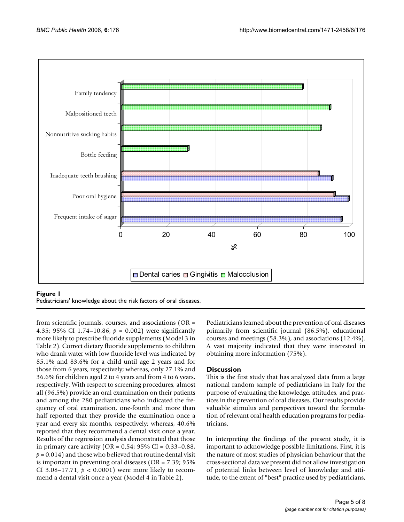

# **Figure 1**

Pediatricians' knowledge about the risk factors of oral diseases.

from scientific journals, courses, and associations (OR = 4.35; 95% CI 1.74–10.86, *p* = 0.002) were significantly more likely to prescribe fluoride supplements (Model 3 in Table 2). Correct dietary fluoride supplements to children who drank water with low fluoride level was indicated by 85.1% and 83.6% for a child until age 2 years and for those from 6 years, respectively; whereas, only 27.1% and 36.6% for children aged 2 to 4 years and from 4 to 6 years, respectively. With respect to screening procedures, almost all (96.5%) provide an oral examination on their patients and among the 280 pediatricians who indicated the frequency of oral examination, one-fourth and more than half reported that they provide the examination once a year and every six months, respectively; whereas, 40.6% reported that they recommend a dental visit once a year. Results of the regression analysis demonstrated that those in primary care activity ( $OR = 0.54$ ;  $95\% CI = 0.33 - 0.88$ ,  $p = 0.014$ ) and those who believed that routine dental visit is important in preventing oral diseases (OR = 7.39; 95% CI 3.08-17.71,  $p < 0.0001$ ) were more likely to recommend a dental visit once a year (Model 4 in Table 2).

Pediatricians learned about the prevention of oral diseases primarily from scientific journal (86.5%), educational courses and meetings (58.3%), and associations (12.4%). A vast majority indicated that they were interested in obtaining more information (75%).

# **Discussion**

This is the first study that has analyzed data from a large national random sample of pediatricians in Italy for the purpose of evaluating the knowledge, attitudes, and practices in the prevention of oral diseases. Our results provide valuable stimulus and perspectives toward the formulation of relevant oral health education programs for pediatricians.

In interpreting the findings of the present study, it is important to acknowledge possible limitations. First, it is the nature of most studies of physician behaviour that the cross-sectional data we present did not allow investigation of potential links between level of knowledge and attitude, to the extent of "best" practice used by pediatricians,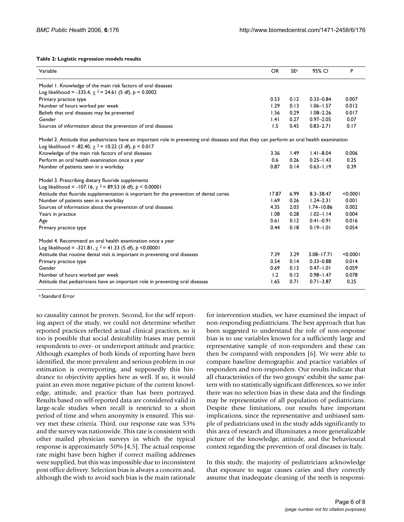#### **Table 2: Logistic regression models results**

| Variable                                                                                                                                                                                                                 | <b>OR</b> | SE <sup>a</sup> | 95% CI         | P        |
|--------------------------------------------------------------------------------------------------------------------------------------------------------------------------------------------------------------------------|-----------|-----------------|----------------|----------|
| Model 1. Knowledge of the main risk factors of oral diseases                                                                                                                                                             |           |                 |                |          |
| Log likelihood = -335.4, $\gamma$ 2 = 24.61 (5 df), $p = 0.0002$                                                                                                                                                         |           |                 |                |          |
| Primary practice type                                                                                                                                                                                                    | 0.53      | 0.12            | $0.33 - 0.84$  | 0.007    |
| Number of hours worked per week                                                                                                                                                                                          | 1.29      | 0.13            | $1.06 - 1.57$  | 0.012    |
| Beliefs that oral diseases may be prevented                                                                                                                                                                              | 1.56      | 0.29            | $1.08 - 2.26$  | 0.017    |
| Gender                                                                                                                                                                                                                   | 1.41      | 0.27            | $0.97 - 2.05$  | 0.07     |
| Sources of information about the prevention of oral diseases                                                                                                                                                             | 1.5       | 0.45            | $0.83 - 2.71$  | 0.17     |
| Model 2. Attitude that pediatricians have an important role in preventing oral diseases and that they can perform an oral health examination<br>Log likelihood = -82.40, $\chi$ <sup>2</sup> = 10.22 (3 df), $p = 0.017$ |           |                 |                |          |
| Knowledge of the main risk factors of oral diseases                                                                                                                                                                      | 3.36      | 1.49            | $1.41 - 8.04$  | 0.006    |
| Perform an oral health examination once a year                                                                                                                                                                           | 0.6       | 0.26            | $0.25 - 1.43$  | 0.25     |
| Number of patients seen in a workday                                                                                                                                                                                     | 0.87      | 0.14            | $0.63 - 1.19$  | 0.39     |
| Model 3. Prescribing dietary fluoride supplements<br>Log likelihood = -107.16, $\chi$ <sup>2</sup> = 89.53 (6 df), $p$ < 0.00001                                                                                         |           |                 |                |          |
| Attitude that fluoride supplementation is important for the prevention of dental caries                                                                                                                                  | 17.87     | 6.99            | $8.3 - 38.47$  | < 0.0001 |
| Number of patients seen in a workday                                                                                                                                                                                     | 1.69      | 0.26            | $1.24 - 2.31$  | 0.001    |
| Sources of information about the prevention of oral diseases                                                                                                                                                             | 4.35      | 2.03            | $1.74 - 10.86$ | 0.002    |
| Years in practice                                                                                                                                                                                                        | 1.08      | 0.28            | $1.02 - 1.14$  | 0.004    |
| Age                                                                                                                                                                                                                      | 0.61      | 0.12            | $0.41 - 0.91$  | 0.016    |
| Primary practice type                                                                                                                                                                                                    | 0.44      | 0.18            | $0.19 - 1.01$  | 0.054    |
| Model 4. Recommend an oral health examination once a year<br>Log likelihood = -321.81, $\chi$ <sup>2</sup> = 41.33 (5 df), $p$ <0.00001                                                                                  |           |                 |                |          |
| Attitude that routine dental visit is important in preventing oral diseases                                                                                                                                              | 7.39      | 3.29            | $3.08 - 17.71$ | < 0.0001 |
| Primary practice type                                                                                                                                                                                                    | 0.54      | 0.14            | $0.33 - 0.88$  | 0.014    |
| Gender                                                                                                                                                                                                                   | 0.69      | 0.13            | $0.47 - 1.01$  | 0.059    |
| Number of hours worked per week                                                                                                                                                                                          | 1.2       | 0.12            | $0.98 - 1.47$  | 0.078    |
| Attitude that pediatricians have an important role in preventing oral diseases                                                                                                                                           | 1.65      | 0.71            | $0.71 - 3.87$  | 0.25     |
|                                                                                                                                                                                                                          |           |                 |                |          |

a Standard Error

so causality cannot be proven. Second, for the self reporting aspect of the study, we could not determine whether reported practices reflected actual clinical practices, so it too is possible that social desirability biases may permit respondents to over- or underreport attitude and practice. Although examples of both kinds of reporting have been identified, the more prevalent and serious problem in our estimation is overreporting, and supposedly this hindrance to objectivity applies here as well. If so, it would paint an even more negative picture of the current knowledge, attitude, and practice than has been portrayed. Results based on self-reported data are considered valid in large-scale studies when recall is restricted to a short period of time and when anonymity is ensured. This survey met these criteria. Third, our response rate was 53% and the survey was nationwide. This rate is consistent with other mailed physician surveys in which the typical response is approximately 50% [4,5]. The actual response rate might have been higher if correct mailing addresses were supplied, but this was impossible due to inconsistent post office delivery. Selection bias is always a concern and, although the wish to avoid such bias is the main rationale for intervention studies, we have examined the impact of non-responding pediatricians. The best approach that has been suggested to understand the role of non-response bias is to use variables known for a sufficiently large and representative sample of non-responders and these can then be compared with responders [6]. We were able to compare baseline demographic and practice variables of responders and non-responders. Our results indicate that all characteristics of the two groups' exhibit the same pattern with no statistically significant differences, so we infer there was no selection bias in these data and the findings may be representative of all population of pediatricians. Despite these limitations, our results have important implications, since the representative and unbiased sample of pediatricians used in the study adds significantly to this area of research and illuminates a more generalizable picture of the knowledge, attitude, and the behavioural context regarding the prevention of oral diseases in Italy.

In this study, the majority of pediatricians acknowledge that exposure to sugar causes caries and they correctly assume that inadequate cleaning of the teeth is responsi-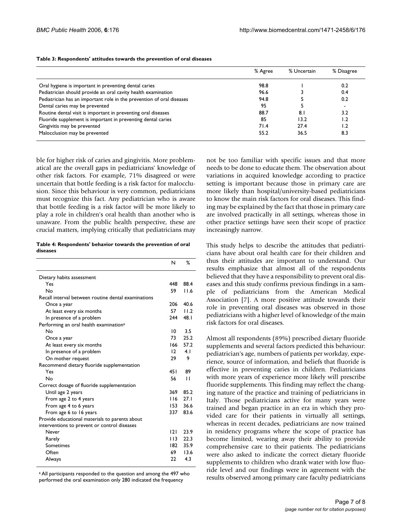|                                                                       | % Agree | % Uncertain | % Disagree |
|-----------------------------------------------------------------------|---------|-------------|------------|
| Oral hygiene is important in preventing dental caries                 | 98.8    |             | 0.2        |
| Pediatrician should provide an oral cavity health examination         | 96.6    |             | 0.4        |
| Pediatrician has an important role in the prevention of oral diseases | 94.8    |             | 0.2        |
| Dental caries may be prevented                                        | 95      |             |            |
| Routine dental visit is important in preventing oral diseases         | 88.7    | 8.1         | 3.2        |
| Fluoride supplement is important in preventing dental caries          | 85      | 13.2        | 1.2        |
| Gingivitis may be prevented                                           | 71.4    | 27.4        | 1.2        |
| Malocclusion may be prevented                                         | 55.2    | 36.5        | 8.3        |

ble for higher risk of caries and gingivitis. More problematical are the overall gaps in pediatricians' knowledge of other risk factors. For example, 71% disagreed or were uncertain that bottle feeding is a risk factor for malocclusion. Since this behaviour is very common, pediatricians must recognize this fact. Any pediatrician who is aware that bottle feeding is a risk factor will be more likely to play a role in children's oral health than another who is unaware. From the public health perspective, these are crucial matters, implying critically that pediatricians may

**Table 4: Respondents' behavior towards the prevention of oral diseases**

|                                                                                                | N      | %            |
|------------------------------------------------------------------------------------------------|--------|--------------|
| Dietary habits assessment                                                                      |        |              |
| Yes                                                                                            | 448    | 88.4         |
| No                                                                                             | 59     | 11.6         |
| Recall interval between routine dental examinations                                            |        |              |
| Once a year                                                                                    | 206    | 40.6         |
| At least every six months                                                                      | 57     | 11.2         |
| In presence of a problem                                                                       | 244    | 48.1         |
| Performing an oral health examination <sup>a</sup>                                             |        |              |
| No                                                                                             | 10     | 3.5          |
| Once a year                                                                                    | 73     | 25.2         |
| At least every six months                                                                      | 166    | 57.2         |
| In presence of a problem                                                                       | $12 -$ | 4.1          |
| On mother request                                                                              | 29     | 9            |
| Recommend dietary fluoride supplementation                                                     |        |              |
| Yes                                                                                            | 45 I   | 89           |
| Nο                                                                                             | 56     | $\mathsf{L}$ |
| Correct dosage of fluoride supplementation                                                     |        |              |
| Until age 2 years                                                                              | 369    | 85.2         |
| From age 2 to 4 years                                                                          | 116    | 27.1         |
| From age 4 to 6 years                                                                          | 153    | 36.6         |
| From age 6 to 16 years                                                                         | 337    | 83.6         |
| Provide educational materials to parents about<br>interventions to prevent or control diseases |        |              |
| Never                                                                                          | 121    | 23.9         |
| Rarely                                                                                         | 113    | 22.3         |
| Sometimes                                                                                      | 182.   | 35.9         |
| Often                                                                                          | 69     | 13.6         |
| Always                                                                                         | 22     | 4.3          |
|                                                                                                |        |              |

a All participants responded to the question and among the 497 who performed the oral examination only 280 indicated the frequency

not be too familiar with specific issues and that more needs to be done to educate them. The observation about variations in acquired knowledge according to practice setting is important because those in primary care are more likely than hospital/university-based pediatricians to know the main risk factors for oral diseases. This finding may be explained by the fact that those in primary care are involved practically in all settings, whereas those in other practice settings have seen their scope of practice increasingly narrow.

This study helps to describe the attitudes that pediatricians have about oral health care for their children and thus their attitudes are important to understand. Our results emphasize that almost all of the respondents believed that they have a responsibility to prevent oral diseases and this study confirms previous findings in a sample of pediatricians from the American Medical Association [7]. A more positive attitude towards their role in preventing oral diseases was observed in those pediatricians with a higher level of knowledge of the main risk factors for oral diseases.

Almost all respondents (89%) prescribed dietary fluoride supplements and several factors predicted this behaviour: pediatrician's age, numbers of patients per workday, experience, source of information, and beliefs that fluoride is effective in preventing caries in children. Pediatricians with more years of experience more likely will prescribe fluoride supplements. This finding may reflect the changing nature of the practice and training of pediatricians in Italy. Those pediatricians active for many years were trained and began practice in an era in which they provided care for their patients in virtually all settings, whereas in recent decades, pediatricians are now trained in residency programs where the scope of practice has become limited, wearing away their ability to provide comprehensive care to their patients. The pediatricians were also asked to indicate the correct dietary fluoride supplements to children who drank water with low fluoride level and our findings were in agreement with the results observed among primary care faculty pediatricians